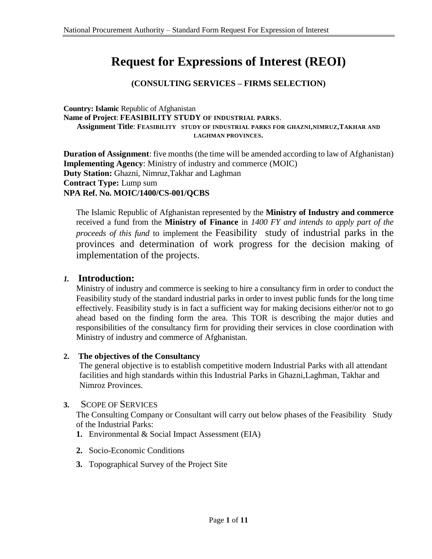# **Request for Expressions of Interest (REOI)**

## **(CONSULTING SERVICES – FIRMS SELECTION)**

**Country: Islamic** Republic of Afghanistan **Name of Project**: **FEASIBILITY STUDY OF INDUSTRIAL PARKS**. **Assignment Title**: **FEASIBILITY STUDY OF INDUSTRIAL PARKS FOR GHAZNI,NIMRUZ,TAKHAR AND LAGHMAN PROVINCES.**

**Duration of Assignment**: five months (the time will be amended according to law of Afghanistan) **Implementing Agency**: Ministry of industry and commerce (MOIC) **Duty Station:** Ghazni, Nimruz,Takhar and Laghman **Contract Type:** Lump sum **NPA Ref. No. MOIC/1400/CS-001/QCBS**

The Islamic Republic of Afghanistan represented by the **Ministry of Industry and commerce** received a fund from the **Ministry of Finance** in *1400 FY and intends to apply part of the proceeds of this fund* to implement the Feasibility study of industrial parks in the provinces and determination of work progress for the decision making of implementation of the projects.

## *1.* **Introduction:**

Ministry of industry and commerce is seeking to hire a consultancy firm in order to conduct the Feasibility study of the standard industrial parks in order to invest public funds for the long time effectively. Feasibility study is in fact a sufficient way for making decisions either/or not to go ahead based on the finding form the area. This TOR is describing the major duties and responsibilities of the consultancy firm for providing their services in close coordination with Ministry of industry and commerce of Afghanistan.

#### **2. The objectives of the Consultancy**

The general objective is to establish competitive modern Industrial Parks with all attendant facilities and high standards within this Industrial Parks in Ghazni,Laghman, Takhar and Nimroz Provinces.

#### **3.** SCOPE OF SERVICES

The Consulting Company or Consultant will carry out below phases of the Feasibility Study of the Industrial Parks:

- **1.** Environmental & Social Impact Assessment (EIA)
- **2.** Socio-Economic Conditions
- **3.** Topographical Survey of the Project Site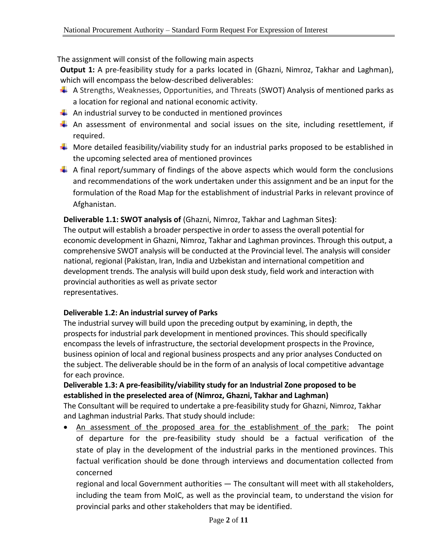The assignment will consist of the following main aspects

**Output 1:** A pre-feasibility study for a parks located in (Ghazni, Nimroz, Takhar and Laghman), which will encompass the below-described deliverables:

- $\downarrow$  A Strengths, Weaknesses, Opportunities, and Threats (SWOT) Analysis of mentioned parks as a location for regional and national economic activity.
- $\downarrow$  An industrial survey to be conducted in mentioned provinces
- $\downarrow$  An assessment of environmental and social issues on the site, including resettlement, if required.
- $\downarrow$  More detailed feasibility/viability study for an industrial parks proposed to be established in the upcoming selected area of mentioned provinces
- $\downarrow$  A final report/summary of findings of the above aspects which would form the conclusions and recommendations of the work undertaken under this assignment and be an input for the formulation of the Road Map for the establishment of industrial Parks in relevant province of Afghanistan.

**Deliverable 1.1: SWOT analysis of** (Ghazni, Nimroz, Takhar and Laghman Sites**)**:

The output will establish a broader perspective in order to assess the overall potential for economic development in Ghazni, Nimroz, Takhar and Laghman provinces. Through this output, a comprehensive SWOT analysis will be conducted at the Provincial level. The analysis will consider national, regional (Pakistan, Iran, India and Uzbekistan and international competition and development trends. The analysis will build upon desk study, field work and interaction with provincial authorities as well as private sector representatives.

## **Deliverable 1.2: An industrial survey of Parks**

The industrial survey will build upon the preceding output by examining, in depth, the prospects for industrial park development in mentioned provinces. This should specifically encompass the levels of infrastructure, the sectorial development prospects in the Province, business opinion of local and regional business prospects and any prior analyses Conducted on the subject. The deliverable should be in the form of an analysis of local competitive advantage for each province.

## **Deliverable 1.3: A pre-feasibility/viability study for an Industrial Zone proposed to be established in the preselected area of (Nimroz, Ghazni, Takhar and Laghman)**

The Consultant will be required to undertake a pre-feasibility study for Ghazni, Nimroz, Takhar and Laghman industrial Parks. That study should include:

• An assessment of the proposed area for the establishment of the park: The point of departure for the pre-feasibility study should be a factual verification of the state of play in the development of the industrial parks in the mentioned provinces. This factual verification should be done through interviews and documentation collected from concerned

regional and local Government authorities — The consultant will meet with all stakeholders, including the team from MoIC, as well as the provincial team, to understand the vision for provincial parks and other stakeholders that may be identified.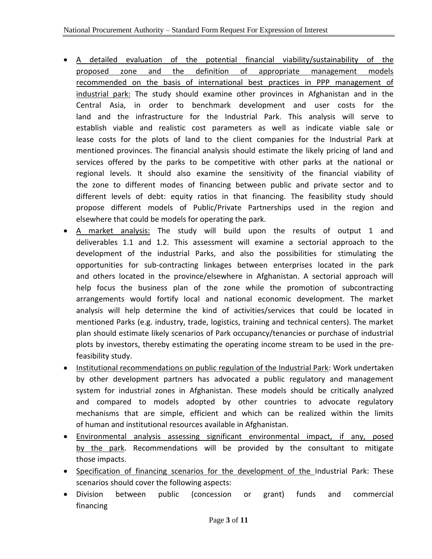- A detailed evaluation of the potential financial viability/sustainability of the proposed zone and the definition of appropriate management models recommended on the basis of international best practices in PPP management of industrial park: The study should examine other provinces in Afghanistan and in the Central Asia, in order to benchmark development and user costs for the land and the infrastructure for the Industrial Park. This analysis will serve to establish viable and realistic cost parameters as well as indicate viable sale or lease costs for the plots of land to the client companies for the Industrial Park at mentioned provinces. The financial analysis should estimate the likely pricing of land and services offered by the parks to be competitive with other parks at the national or regional levels. It should also examine the sensitivity of the financial viability of the zone to different modes of financing between public and private sector and to different levels of debt: equity ratios in that financing. The feasibility study should propose different models of Public/Private Partnerships used in the region and elsewhere that could be models for operating the park.
- A market analysis: The study will build upon the results of output 1 and deliverables 1.1 and 1.2. This assessment will examine a sectorial approach to the development of the industrial Parks, and also the possibilities for stimulating the opportunities for sub-contracting linkages between enterprises located in the park and others located in the province/elsewhere in Afghanistan. A sectorial approach will help focus the business plan of the zone while the promotion of subcontracting arrangements would fortify local and national economic development. The market analysis will help determine the kind of activities/services that could be located in mentioned Parks (e.g. industry, trade, logistics, training and technical centers). The market plan should estimate likely scenarios of Park occupancy/tenancies or purchase of industrial plots by investors, thereby estimating the operating income stream to be used in the prefeasibility study.
- Institutional recommendations on public regulation of the Industrial Park: Work undertaken by other development partners has advocated a public regulatory and management system for industrial zones in Afghanistan. These models should be critically analyzed and compared to models adopted by other countries to advocate regulatory mechanisms that are simple, efficient and which can be realized within the limits of human and institutional resources available in Afghanistan.
- Environmental analysis assessing significant environmental impact, if any, posed by the park. Recommendations will be provided by the consultant to mitigate those impacts.
- Specification of financing scenarios for the development of the Industrial Park: These scenarios should cover the following aspects:
- Division between public (concession or grant) funds and commercial financing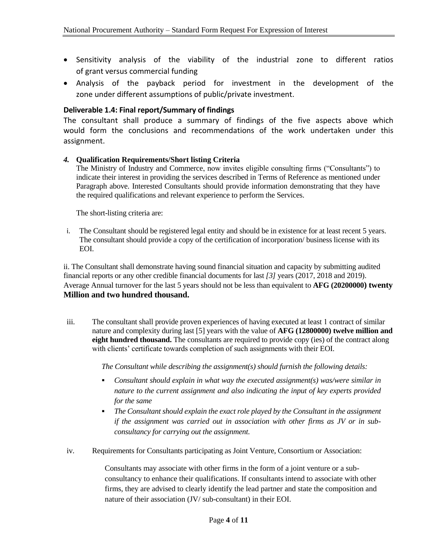- Sensitivity analysis of the viability of the industrial zone to different ratios of grant versus commercial funding
- Analysis of the payback period for investment in the development of the zone under different assumptions of public/private investment.

#### **Deliverable 1.4: Final report/Summary of findings**

The consultant shall produce a summary of findings of the five aspects above which would form the conclusions and recommendations of the work undertaken under this assignment.

#### *4.* **Qualification Requirements/Short listing Criteria**

The Ministry of Industry and Commerce, now invites eligible consulting firms ("Consultants") to indicate their interest in providing the services described in Terms of Reference as mentioned under Paragraph above. Interested Consultants should provide information demonstrating that they have the required qualifications and relevant experience to perform the Services.

The short-listing criteria are:

i. The Consultant should be registered legal entity and should be in existence for at least recent 5 years. The consultant should provide a copy of the certification of incorporation/ business license with its EOI.

ii. The Consultant shall demonstrate having sound financial situation and capacity by submitting audited financial reports or any other credible financial documents for last *[3]* years (2017, 2018 and 2019). Average Annual turnover for the last 5 years should not be less than equivalent to **AFG (20200000) twenty Million and two hundred thousand.** 

iii. The consultant shall provide proven experiences of having executed at least 1 contract of similar nature and complexity during last [5] years with the value of **AFG (12800000) twelve million and eight hundred thousand.** The consultants are required to provide copy (ies) of the contract along with clients' certificate towards completion of such assignments with their EOI.

*The Consultant while describing the assignment(s) should furnish the following details:* 

- *Consultant should explain in what way the executed assignment(s) was/were similar in nature to the current assignment and also indicating the input of key experts provided for the same*
- *The Consultant should explain the exact role played by the Consultant in the assignment if the assignment was carried out in association with other firms as JV or in subconsultancy for carrying out the assignment.*
- iv. Requirements for Consultants participating as Joint Venture, Consortium or Association:

Consultants may associate with other firms in the form of a joint venture or a subconsultancy to enhance their qualifications. If consultants intend to associate with other firms, they are advised to clearly identify the lead partner and state the composition and nature of their association (JV/ sub-consultant) in their EOI.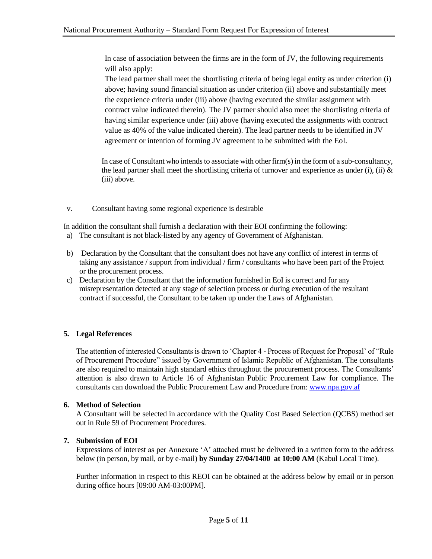In case of association between the firms are in the form of JV, the following requirements will also apply:

The lead partner shall meet the shortlisting criteria of being legal entity as under criterion (i) above; having sound financial situation as under criterion (ii) above and substantially meet the experience criteria under (iii) above (having executed the similar assignment with contract value indicated therein). The JV partner should also meet the shortlisting criteria of having similar experience under (iii) above (having executed the assignments with contract value as 40% of the value indicated therein). The lead partner needs to be identified in JV agreement or intention of forming JV agreement to be submitted with the EoI.

In case of Consultant who intends to associate with other firm(s) in the form of a sub-consultancy, the lead partner shall meet the shortlisting criteria of turnover and experience as under (i), (ii)  $\&$ (iii) above.

v. Consultant having some regional experience is desirable

In addition the consultant shall furnish a declaration with their EOI confirming the following:

- a) The consultant is not black-listed by any agency of Government of Afghanistan.
- b) Declaration by the Consultant that the consultant does not have any conflict of interest in terms of taking any assistance / support from individual / firm / consultants who have been part of the Project or the procurement process.
- c) Declaration by the Consultant that the information furnished in EoI is correct and for any misrepresentation detected at any stage of selection process or during execution of the resultant contract if successful, the Consultant to be taken up under the Laws of Afghanistan.

#### **5. Legal References**

The attention of interested Consultants is drawn to 'Chapter 4 - Process of Request for Proposal' of "Rule of Procurement Procedure" issued by Government of Islamic Republic of Afghanistan. The consultants are also required to maintain high standard ethics throughout the procurement process. The Consultants' attention is also drawn to Article 16 of Afghanistan Public Procurement Law for compliance. The consultants can download the Public Procurement Law and Procedure from[: www.npa.gov.af](http://www.npa.gov.af/) 

#### **6. Method of Selection**

A Consultant will be selected in accordance with the Quality Cost Based Selection (QCBS) method set out in Rule 59 of Procurement Procedures.

#### **7. Submission of EOI**

Expressions of interest as per Annexure 'A' attached must be delivered in a written form to the address below (in person, by mail, or by e-mail) **by Sunday 27/04/1400 at 10:00 AM** (Kabul Local Time).

Further information in respect to this REOI can be obtained at the address below by email or in person during office hours [09:00 AM-03:00PM].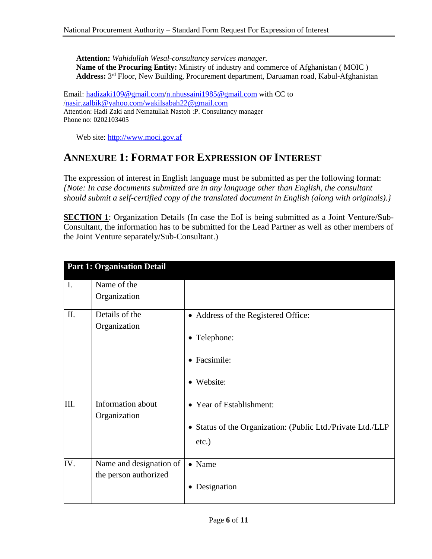**Attention:** *Wahidullah Wesal-consultancy services manager.* **Name of the Procuring Entity:** Ministry of industry and commerce of Afghanistan ( MOIC ) **Address:** 3 rd Floor, New Building, Procurement department, Daruaman road, Kabul-Afghanistan

Email: [hadizaki109@gmail.com/](mailto:hadizaki109@gmail.com)n.nhussaini1985@gmail.com with CC to /nasir.zalbik@yahoo.com/wakilsabah22@gmail.com Attention: Hadi Zaki and Nematullah Nastoh :P. Consultancy manager Phone no: 0202103405

Web site: [http://www.moci.gov.af](http://www.moci.gov.af/)

## **ANNEXURE 1: FORMAT FOR EXPRESSION OF INTEREST**

The expression of interest in English language must be submitted as per the following format: *{Note: In case documents submitted are in any language other than English, the consultant should submit a self-certified copy of the translated document in English (along with originals).}*

**SECTION 1**: Organization Details (In case the EoI is being submitted as a Joint Venture/Sub-Consultant, the information has to be submitted for the Lead Partner as well as other members of the Joint Venture separately/Sub-Consultant.)

|                | <b>Part 1: Organisation Detail</b> |                                                                         |
|----------------|------------------------------------|-------------------------------------------------------------------------|
| $\mathbf{I}$ . | Name of the                        |                                                                         |
|                | Organization                       |                                                                         |
| II.            | Details of the                     | • Address of the Registered Office:                                     |
|                | Organization                       | • Telephone:                                                            |
|                |                                    | • Facsimile:                                                            |
|                |                                    | • Website:                                                              |
| III.           | Information about                  | • Year of Establishment:                                                |
|                | Organization                       | • Status of the Organization: (Public Ltd./Private Ltd./LLP<br>$etc.$ ) |
| IV.            | Name and designation of            | • Name                                                                  |
|                | the person authorized              | Designation<br>$\bullet$                                                |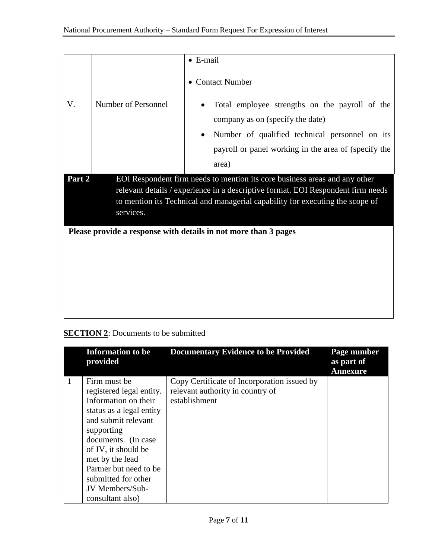|                                                                                                                                                                                                                                                                        |                     | $\bullet$ E-mail                                                                                                                                                                                      |
|------------------------------------------------------------------------------------------------------------------------------------------------------------------------------------------------------------------------------------------------------------------------|---------------------|-------------------------------------------------------------------------------------------------------------------------------------------------------------------------------------------------------|
|                                                                                                                                                                                                                                                                        |                     | <b>Contact Number</b>                                                                                                                                                                                 |
| V.                                                                                                                                                                                                                                                                     | Number of Personnel | Total employee strengths on the payroll of the<br>company as on (specify the date)<br>Number of qualified technical personnel on its<br>payroll or panel working in the area of (specify the<br>area) |
| EOI Respondent firm needs to mention its core business areas and any other<br>Part 2<br>relevant details / experience in a descriptive format. EOI Respondent firm needs<br>to mention its Technical and managerial capability for executing the scope of<br>services. |                     |                                                                                                                                                                                                       |
|                                                                                                                                                                                                                                                                        |                     | Please provide a response with details in not more than 3 pages                                                                                                                                       |

### **SECTION 2:** Documents to be submitted

| <b>Information to be</b><br>provided                                                                                                                                            | <b>Documentary Evidence to be Provided</b>                                                       | Page number<br>as part of<br><b>Annexure</b> |
|---------------------------------------------------------------------------------------------------------------------------------------------------------------------------------|--------------------------------------------------------------------------------------------------|----------------------------------------------|
| Firm must be<br>registered legal entity.<br>Information on their<br>status as a legal entity<br>and submit relevant<br>supporting<br>documents. (In case<br>of JV, it should be | Copy Certificate of Incorporation issued by<br>relevant authority in country of<br>establishment |                                              |
| met by the lead<br>Partner but need to be<br>submitted for other<br>JV Members/Sub-<br>consultant also)                                                                         |                                                                                                  |                                              |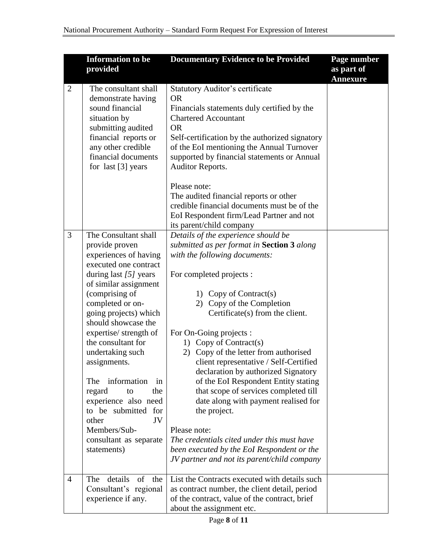|                | <b>Information to be</b><br>provided                                                                                                                                                                                                                                                                                                                                                                                                                                                             | <b>Documentary Evidence to be Provided</b>                                                                                                                                                                                                                                                                                                                                                                                                                                                                                                                                                                                                                                                                                                                 | Page number<br>as part of<br><b>Annexure</b> |
|----------------|--------------------------------------------------------------------------------------------------------------------------------------------------------------------------------------------------------------------------------------------------------------------------------------------------------------------------------------------------------------------------------------------------------------------------------------------------------------------------------------------------|------------------------------------------------------------------------------------------------------------------------------------------------------------------------------------------------------------------------------------------------------------------------------------------------------------------------------------------------------------------------------------------------------------------------------------------------------------------------------------------------------------------------------------------------------------------------------------------------------------------------------------------------------------------------------------------------------------------------------------------------------------|----------------------------------------------|
| $\overline{2}$ | The consultant shall<br>demonstrate having<br>sound financial<br>situation by<br>submitting audited<br>financial reports or<br>any other credible<br>financial documents<br>for last [3] years                                                                                                                                                                                                                                                                                                   | <b>Statutory Auditor's certificate</b><br><b>OR</b><br>Financials statements duly certified by the<br><b>Chartered Accountant</b><br><b>OR</b><br>Self-certification by the authorized signatory<br>of the EoI mentioning the Annual Turnover<br>supported by financial statements or Annual<br><b>Auditor Reports.</b><br>Please note:<br>The audited financial reports or other<br>credible financial documents must be of the<br>EoI Respondent firm/Lead Partner and not                                                                                                                                                                                                                                                                               |                                              |
| 3              | The Consultant shall<br>provide proven<br>experiences of having<br>executed one contract<br>during last $[5]$ years<br>of similar assignment<br>(comprising of<br>completed or on-<br>going projects) which<br>should showcase the<br>expertise/ strength of<br>the consultant for<br>undertaking such<br>assignments.<br>information<br>The<br>in<br>the<br>regard<br>to<br>experience also need<br>to be submitted for<br>other<br>JV<br>Members/Sub-<br>consultant as separate<br>statements) | its parent/child company<br>Details of the experience should be<br>submitted as per format in Section 3 along<br>with the following documents:<br>For completed projects :<br>1) Copy of Contract(s)<br>Copy of the Completion<br>2)<br>Certificate(s) from the client.<br>For On-Going projects :<br>1) Copy of Contract(s)<br>2) Copy of the letter from authorised<br>client representative / Self-Certified<br>declaration by authorized Signatory<br>of the EoI Respondent Entity stating<br>that scope of services completed till<br>date along with payment realised for<br>the project.<br>Please note:<br>The credentials cited under this must have<br>been executed by the EoI Respondent or the<br>JV partner and not its parent/child company |                                              |
| $\overline{4}$ | details<br>of the<br>The<br>Consultant's regional<br>experience if any.                                                                                                                                                                                                                                                                                                                                                                                                                          | List the Contracts executed with details such<br>as contract number, the client detail, period<br>of the contract, value of the contract, brief<br>about the assignment etc.                                                                                                                                                                                                                                                                                                                                                                                                                                                                                                                                                                               |                                              |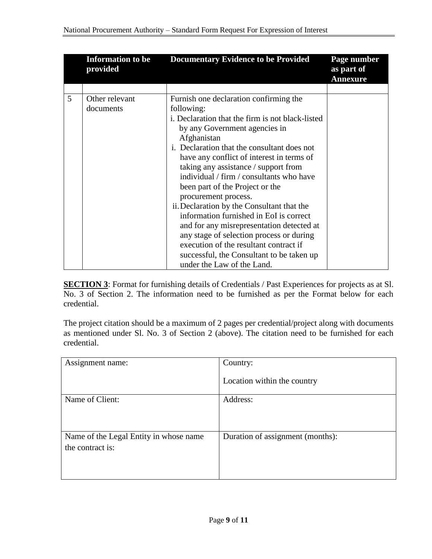|   | <b>Information to be</b><br>provided | <b>Documentary Evidence to be Provided</b>       | Page number<br>as part of<br><b>Annexure</b> |
|---|--------------------------------------|--------------------------------------------------|----------------------------------------------|
|   |                                      |                                                  |                                              |
| 5 | Other relevant                       | Furnish one declaration confirming the           |                                              |
|   | documents                            | following:                                       |                                              |
|   |                                      | i. Declaration that the firm is not black-listed |                                              |
|   |                                      | by any Government agencies in                    |                                              |
|   |                                      | Afghanistan                                      |                                              |
|   |                                      | i. Declaration that the consultant does not      |                                              |
|   |                                      | have any conflict of interest in terms of        |                                              |
|   |                                      | taking any assistance / support from             |                                              |
|   |                                      | individual / firm / consultants who have         |                                              |
|   |                                      | been part of the Project or the                  |                                              |
|   |                                      | procurement process.                             |                                              |
|   |                                      | ii. Declaration by the Consultant that the       |                                              |
|   |                                      | information furnished in EoI is correct          |                                              |
|   |                                      | and for any misrepresentation detected at        |                                              |
|   |                                      | any stage of selection process or during         |                                              |
|   |                                      | execution of the resultant contract if           |                                              |
|   |                                      | successful, the Consultant to be taken up        |                                              |
|   |                                      | under the Law of the Land.                       |                                              |

**SECTION 3**: Format for furnishing details of Credentials / Past Experiences for projects as at Sl. No. 3 of Section 2. The information need to be furnished as per the Format below for each credential.

The project citation should be a maximum of 2 pages per credential/project along with documents as mentioned under Sl. No. 3 of Section 2 (above). The citation need to be furnished for each credential.

| Assignment name:                       | Country:                         |
|----------------------------------------|----------------------------------|
|                                        | Location within the country      |
| Name of Client:                        | Address:                         |
|                                        |                                  |
|                                        |                                  |
| Name of the Legal Entity in whose name | Duration of assignment (months): |
| the contract is:                       |                                  |
|                                        |                                  |
|                                        |                                  |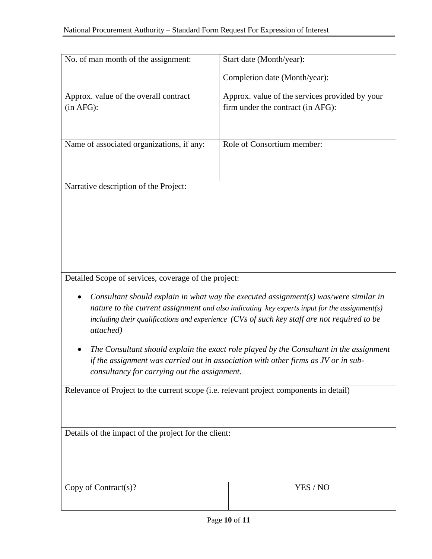| No. of man month of the assignment:       | Start date (Month/year):                       |
|-------------------------------------------|------------------------------------------------|
|                                           | Completion date (Month/year):                  |
| Approx. value of the overall contract     | Approx. value of the services provided by your |
|                                           |                                                |
| (in AFG):                                 | firm under the contract (in AFG):              |
|                                           |                                                |
| Name of associated organizations, if any: | Role of Consortium member:                     |
| Narrative description of the Project:     |                                                |

Detailed Scope of services, coverage of the project:

- *Consultant should explain in what way the executed assignment(s) was/were similar in nature to the current assignment and also indicating key experts input for the assignment(s) including their qualifications and experience (CVs of such key staff are not required to be attached)*
- *The Consultant should explain the exact role played by the Consultant in the assignment if the assignment was carried out in association with other firms as JV or in subconsultancy for carrying out the assignment.*

Relevance of Project to the current scope (i.e. relevant project components in detail)

Details of the impact of the project for the client:

YES / NO